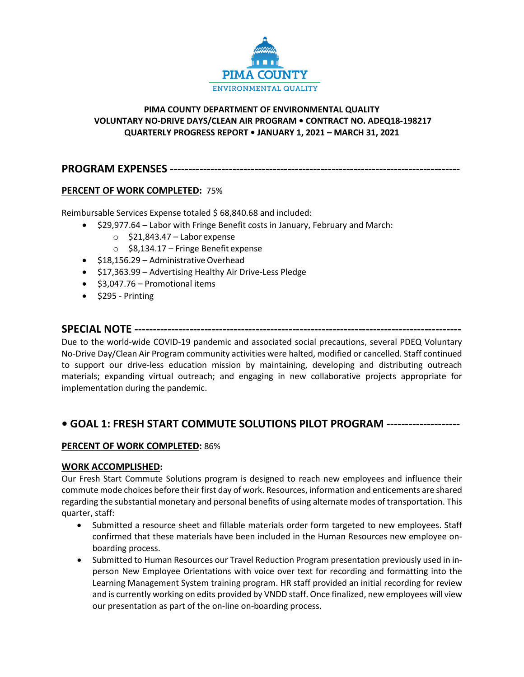

# **PIMA COUNTY DEPARTMENT OF ENVIRONMENTAL QUALITY VOLUNTARY NO-DRIVE DAYS/CLEAN AIR PROGRAM • CONTRACT NO. ADEQ18-198217 QUARTERLY PROGRESS REPORT • JANUARY 1, 2021 – MARCH 31, 2021**

# **PROGRAM EXPENSES -------------------------------------------------------------------------------**

# **PERCENT OF WORK COMPLETED:** 75%

Reimbursable Services Expense totaled \$ 68,840.68 and included:

- \$29,977.64 Labor with Fringe Benefit costs in January, February and March:
	- $\circ$  \$21,843.47 Labor expense
	- $\circ$  \$8,134.17 Fringe Benefit expense
- \$18,156.29 Administrative Overhead
- \$17,363.99 Advertising Healthy Air Drive-Less Pledge
- \$3,047.76 Promotional items
- $\bullet$  \$295 Printing

# **SPECIAL NOTE -----------------------------------------------------------------------------------------**

Due to the world-wide COVID-19 pandemic and associated social precautions, several PDEQ Voluntary No-Drive Day/Clean Air Program community activities were halted, modified or cancelled. Staff continued to support our drive-less education mission by maintaining, developing and distributing outreach materials; expanding virtual outreach; and engaging in new collaborative projects appropriate for implementation during the pandemic.

# **• GOAL 1: FRESH START COMMUTE SOLUTIONS PILOT PROGRAM --------------------**

### **PERCENT OF WORK COMPLETED:** 86%

### **WORK ACCOMPLISHED:**

Our Fresh Start Commute Solutions program is designed to reach new employees and influence their commute mode choices before their first day of work. Resources, information and enticements are shared regarding the substantial monetary and personal benefits of using alternate modes of transportation. This quarter, staff:

- Submitted a resource sheet and fillable materials order form targeted to new employees. Staff confirmed that these materials have been included in the Human Resources new employee onboarding process.
- Submitted to Human Resources our Travel Reduction Program presentation previously used in inperson New Employee Orientations with voice over text for recording and formatting into the Learning Management System training program. HR staff provided an initial recording for review and is currently working on edits provided by VNDD staff. Once finalized, new employees will view our presentation as part of the on-line on-boarding process.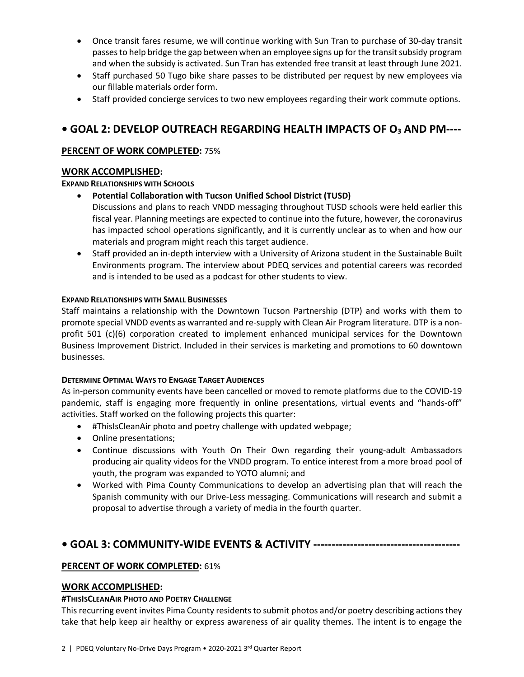- Once transit fares resume, we will continue working with Sun Tran to purchase of 30-day transit passes to help bridge the gap between when an employee signs up for the transit subsidy program and when the subsidy is activated. Sun Tran has extended free transit at least through June 2021.
- Staff purchased 50 Tugo bike share passes to be distributed per request by new employees via our fillable materials order form.
- Staff provided concierge services to two new employees regarding their work commute options.

# **• GOAL 2: DEVELOP OUTREACH REGARDING HEALTH IMPACTS OF O3 AND PM----**

# **PERCENT OF WORK COMPLETED:** 75%

# **WORK ACCOMPLISHED:**

### **EXPAND RELATIONSHIPS WITH SCHOOLS**

- **Potential Collaboration with Tucson Unified School District (TUSD)**
	- Discussions and plans to reach VNDD messaging throughout TUSD schools were held earlier this fiscal year. Planning meetings are expected to continue into the future, however, the coronavirus has impacted school operations significantly, and it is currently unclear as to when and how our materials and program might reach this target audience.
- Staff provided an in-depth interview with a University of Arizona student in the Sustainable Built Environments program. The interview about PDEQ services and potential careers was recorded and is intended to be used as a podcast for other students to view.

### **EXPAND RELATIONSHIPS WITH SMALL BUSINESSES**

Staff maintains a relationship with the Downtown Tucson Partnership (DTP) and works with them to promote special VNDD events as warranted and re-supply with Clean Air Program literature. DTP is a nonprofit 501 (c)(6) corporation created to implement enhanced municipal services for the Downtown Business Improvement District. Included in their services is marketing and promotions to 60 downtown businesses.

### **DETERMINE OPTIMAL WAYS TO ENGAGE TARGET AUDIENCES**

As in-person community events have been cancelled or moved to remote platforms due to the COVID-19 pandemic, staff is engaging more frequently in online presentations, virtual events and "hands-off" activities. Staff worked on the following projects this quarter:

- #ThisIsCleanAir photo and poetry challenge with updated webpage;
- Online presentations;
- Continue discussions with Youth On Their Own regarding their young-adult Ambassadors producing air quality videos for the VNDD program. To entice interest from a more broad pool of youth, the program was expanded to YOTO alumni; and
- Worked with Pima County Communications to develop an advertising plan that will reach the Spanish community with our Drive-Less messaging. Communications will research and submit a proposal to advertise through a variety of media in the fourth quarter.

# **• GOAL 3: COMMUNITY-WIDE EVENTS & ACTIVITY ----------------------------------------**

### **PERCENT OF WORK COMPLETED:** 61%

### **WORK ACCOMPLISHED:**

### **#THISISCLEANAIR PHOTO AND POETRY CHALLENGE**

This recurring event invites Pima County residents to submit photos and/or poetry describing actions they take that help keep air healthy or express awareness of air quality themes. The intent is to engage the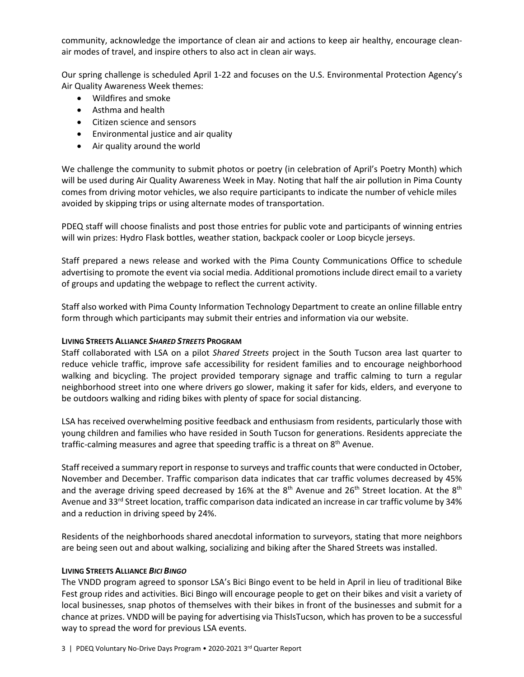community, acknowledge the importance of clean air and actions to keep air healthy, encourage cleanair modes of travel, and inspire others to also act in clean air ways.

Our spring challenge is scheduled April 1-22 and focuses on the U.S. Environmental Protection Agency's Air Quality Awareness Week themes:

- Wildfires and smoke
- Asthma and health
- Citizen science and sensors
- Environmental justice and air quality
- Air quality around the world

We challenge the community to submit photos or poetry (in celebration of April's Poetry Month) which will be used during Air Quality Awareness Week in May. Noting that half the air pollution in Pima County comes from driving motor vehicles, we also require participants to indicate the number of vehicle miles avoided by skipping trips or using alternate modes of transportation.

PDEQ staff will choose finalists and post those entries for public vote and participants of winning entries will win prizes: Hydro Flask bottles, weather station, backpack cooler or Loop bicycle jerseys.

Staff prepared a news release and worked with the Pima County Communications Office to schedule advertising to promote the event via social media. Additional promotions include direct email to a variety of groups and updating the webpage to reflect the current activity.

Staff also worked with Pima County Information Technology Department to create an online fillable entry form through which participants may submit their entries and information via our website.

### **LIVING STREETS ALLIANCE** *SHARED STREETS* **PROGRAM**

Staff collaborated with LSA on a pilot *Shared Streets* project in the South Tucson area last quarter to reduce vehicle traffic, improve safe accessibility for resident families and to encourage neighborhood walking and bicycling. The project provided temporary signage and traffic calming to turn a regular neighborhood street into one where drivers go slower, making it safer for kids, elders, and everyone to be outdoors walking and riding bikes with plenty of space for social distancing.

LSA has received overwhelming positive feedback and enthusiasm from residents, particularly those with young children and families who have resided in South Tucson for generations. Residents appreciate the traffic-calming measures and agree that speeding traffic is a threat on 8<sup>th</sup> Avenue.

Staff received a summary report in response to surveys and traffic counts that were conducted in October, November and December. Traffic comparison data indicates that car traffic volumes decreased by 45% and the average driving speed decreased by 16% at the 8<sup>th</sup> Avenue and 26<sup>th</sup> Street location. At the 8<sup>th</sup> Avenue and 33<sup>rd</sup> Street location, traffic comparison data indicated an increase in car traffic volume by 34% and a reduction in driving speed by 24%.

Residents of the neighborhoods shared anecdotal information to surveyors, stating that more neighbors are being seen out and about walking, socializing and biking after the Shared Streets was installed.

### **LIVING STREETS ALLIANCE** *BICI BINGO*

The VNDD program agreed to sponsor LSA's Bici Bingo event to be held in April in lieu of traditional Bike Fest group rides and activities. Bici Bingo will encourage people to get on their bikes and visit a variety of local businesses, snap photos of themselves with their bikes in front of the businesses and submit for a chance at prizes. VNDD will be paying for advertising via ThisIsTucson, which has proven to be a successful way to spread the word for previous LSA events.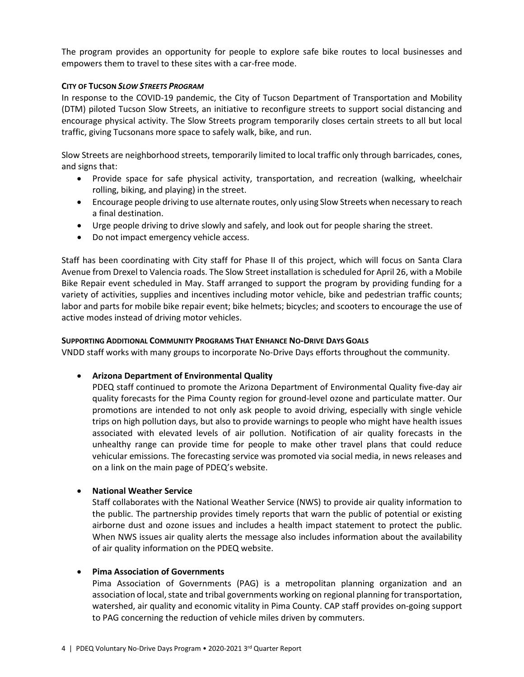The program provides an opportunity for people to explore safe bike routes to local businesses and empowers them to travel to these sites with a car-free mode.

### **CITY OF TUCSON** *SLOW STREETS PROGRAM*

In response to the COVID-19 pandemic, the City of Tucson Department of Transportation and Mobility (DTM) piloted Tucson Slow Streets, an initiative to reconfigure streets to support social distancing and encourage physical activity. The Slow Streets program temporarily closes certain streets to all but local traffic, giving Tucsonans more space to safely walk, bike, and run.

Slow Streets are neighborhood streets, temporarily limited to local traffic only through barricades, cones, and signs that:

- Provide space for safe physical activity, transportation, and recreation (walking, wheelchair rolling, biking, and playing) in the street.
- Encourage people driving to use alternate routes, only using Slow Streets when necessary to reach a final destination.
- Urge people driving to drive slowly and safely, and look out for people sharing the street.
- Do not impact emergency vehicle access.

Staff has been coordinating with City staff for Phase II of this project, which will focus on Santa Clara Avenue from Drexel to Valencia roads. The Slow Street installation is scheduled for April 26, with a Mobile Bike Repair event scheduled in May. Staff arranged to support the program by providing funding for a variety of activities, supplies and incentives including motor vehicle, bike and pedestrian traffic counts; labor and parts for mobile bike repair event; bike helmets; bicycles; and scooters to encourage the use of active modes instead of driving motor vehicles.

### **SUPPORTING ADDITIONAL COMMUNITY PROGRAMS THAT ENHANCE NO-DRIVE DAYS GOALS**

VNDD staff works with many groups to incorporate No-Drive Days efforts throughout the community.

• **Arizona Department of Environmental Quality**

PDEQ staff continued to promote the Arizona Department of Environmental Quality five-day air quality forecasts for the Pima County region for ground-level ozone and particulate matter. Our promotions are intended to not only ask people to avoid driving, especially with single vehicle trips on high pollution days, but also to provide warnings to people who might have health issues associated with elevated levels of air pollution. Notification of air quality forecasts in the unhealthy range can provide time for people to make other travel plans that could reduce vehicular emissions. The forecasting service was promoted via social media, in news releases and on a link on the main page of PDEQ's website.

### • **National Weather Service**

Staff collaborates with the National Weather Service (NWS) to provide air quality information to the public. The partnership provides timely reports that warn the public of potential or existing airborne dust and ozone issues and includes a health impact statement to protect the public. When NWS issues air quality alerts the message also includes information about the availability of air quality information on the PDEQ website.

#### • **Pima Association of Governments**

Pima Association of Governments (PAG) is a metropolitan planning organization and an association of local, state and tribal governments working on regional planning for transportation, watershed, air quality and economic vitality in Pima County. CAP staff provides on-going support to PAG concerning the reduction of vehicle miles driven by commuters.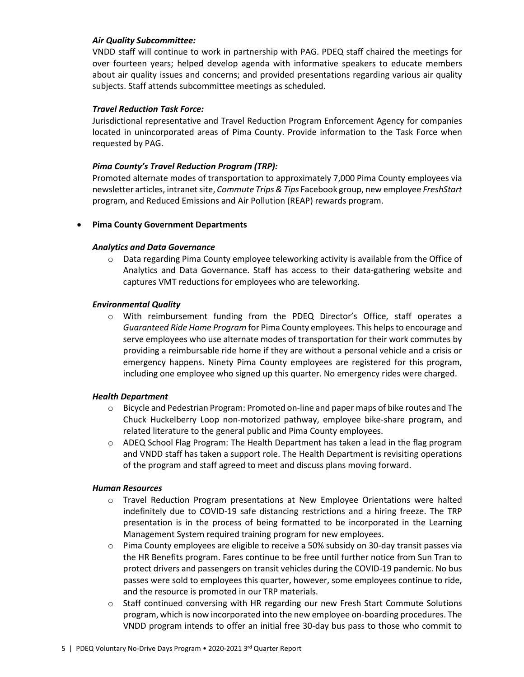### *Air Quality Subcommittee:*

VNDD staff will continue to work in partnership with PAG. PDEQ staff chaired the meetings for over fourteen years; helped develop agenda with informative speakers to educate members about air quality issues and concerns; and provided presentations regarding various air quality subjects. Staff attends subcommittee meetings as scheduled.

### *Travel Reduction Task Force:*

Jurisdictional representative and Travel Reduction Program Enforcement Agency for companies located in unincorporated areas of Pima County. Provide information to the Task Force when requested by PAG.

### *Pima County's Travel Reduction Program (TRP):*

Promoted alternate modes of transportation to approximately 7,000 Pima County employees via newsletter articles, intranet site, *Commute Trips & Tips* Facebook group, new employee *FreshStart* program, and Reduced Emissions and Air Pollution (REAP) rewards program.

### • **Pima County Government Departments**

### *Analytics and Data Governance*

 $\circ$  Data regarding Pima County employee teleworking activity is available from the Office of Analytics and Data Governance. Staff has access to their data-gathering website and captures VMT reductions for employees who are teleworking.

### *Environmental Quality*

o With reimbursement funding from the PDEQ Director's Office, staff operates a *Guaranteed Ride Home Program* for Pima County employees. This helps to encourage and serve employees who use alternate modes of transportation for their work commutes by providing a reimbursable ride home if they are without a personal vehicle and a crisis or emergency happens. Ninety Pima County employees are registered for this program, including one employee who signed up this quarter. No emergency rides were charged.

### *Health Department*

- o Bicycle and Pedestrian Program: Promoted on-line and paper maps of bike routes and The Chuck Huckelberry Loop non-motorized pathway, employee bike-share program, and related literature to the general public and Pima County employees.
- $\circ$  ADEQ School Flag Program: The Health Department has taken a lead in the flag program and VNDD staff has taken a support role. The Health Department is revisiting operations of the program and staff agreed to meet and discuss plans moving forward.

#### *Human Resources*

- o Travel Reduction Program presentations at New Employee Orientations were halted indefinitely due to COVID-19 safe distancing restrictions and a hiring freeze. The TRP presentation is in the process of being formatted to be incorporated in the Learning Management System required training program for new employees.
- $\circ$  Pima County employees are eligible to receive a 50% subsidy on 30-day transit passes via the HR Benefits program. Fares continue to be free until further notice from Sun Tran to protect drivers and passengers on transit vehicles during the COVID-19 pandemic. No bus passes were sold to employees this quarter, however, some employees continue to ride, and the resource is promoted in our TRP materials.
- o Staff continued conversing with HR regarding our new Fresh Start Commute Solutions program, which is now incorporated into the new employee on-boarding procedures. The VNDD program intends to offer an initial free 30-day bus pass to those who commit to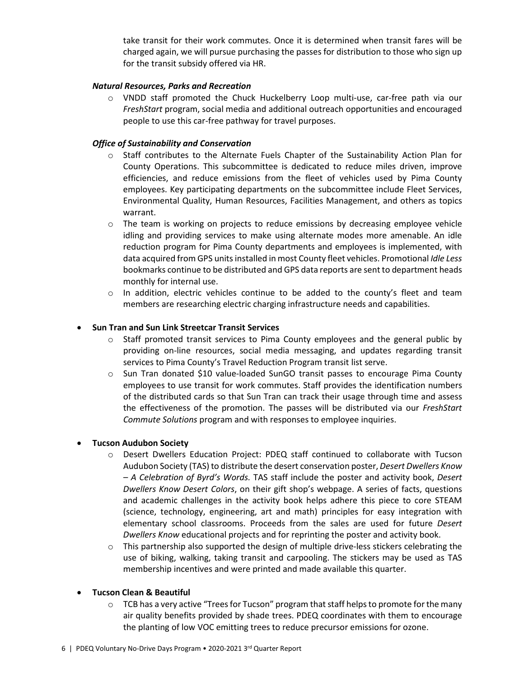take transit for their work commutes. Once it is determined when transit fares will be charged again, we will pursue purchasing the passes for distribution to those who sign up for the transit subsidy offered via HR.

### *Natural Resources, Parks and Recreation*

o VNDD staff promoted the Chuck Huckelberry Loop multi-use, car-free path via our *FreshStart* program, social media and additional outreach opportunities and encouraged people to use this car-free pathway for travel purposes.

### *Office of Sustainability and Conservation*

- o Staff contributes to the Alternate Fuels Chapter of the Sustainability Action Plan for County Operations. This subcommittee is dedicated to reduce miles driven, improve efficiencies, and reduce emissions from the fleet of vehicles used by Pima County employees. Key participating departments on the subcommittee include Fleet Services, Environmental Quality, Human Resources, Facilities Management, and others as topics warrant.
- o The team is working on projects to reduce emissions by decreasing employee vehicle idling and providing services to make using alternate modes more amenable. An idle reduction program for Pima County departments and employees is implemented, with data acquired from GPS units installed in most County fleet vehicles. Promotional *Idle Less*  bookmarks continue to be distributed and GPS data reports are sent to department heads monthly for internal use.
- $\circ$  In addition, electric vehicles continue to be added to the county's fleet and team members are researching electric charging infrastructure needs and capabilities.

### • **Sun Tran and Sun Link Streetcar Transit Services**

- $\circ$  Staff promoted transit services to Pima County employees and the general public by providing on-line resources, social media messaging, and updates regarding transit services to Pima County's Travel Reduction Program transit list serve.
- o Sun Tran donated \$10 value-loaded SunGO transit passes to encourage Pima County employees to use transit for work commutes. Staff provides the identification numbers of the distributed cards so that Sun Tran can track their usage through time and assess the effectiveness of the promotion. The passes will be distributed via our *FreshStart Commute Solutions* program and with responses to employee inquiries.

#### • **Tucson Audubon Society**

- o Desert Dwellers Education Project: PDEQ staff continued to collaborate with Tucson Audubon Society (TAS) to distribute the desert conservation poster, *Desert Dwellers Know – A Celebration of Byrd's Words.* TAS staff include the poster and activity book, *Desert Dwellers Know Desert Colors*, on their gift shop's webpage. A series of facts, questions and academic challenges in the activity book helps adhere this piece to core STEAM (science, technology, engineering, art and math) principles for easy integration with elementary school classrooms. Proceeds from the sales are used for future *Desert Dwellers Know* educational projects and for reprinting the poster and activity book.
- $\circ$  This partnership also supported the design of multiple drive-less stickers celebrating the use of biking, walking, taking transit and carpooling. The stickers may be used as TAS membership incentives and were printed and made available this quarter.

### • **Tucson Clean & Beautiful**

 $\circ$  TCB has a very active "Trees for Tucson" program that staff helps to promote for the many air quality benefits provided by shade trees. PDEQ coordinates with them to encourage the planting of low VOC emitting trees to reduce precursor emissions for ozone.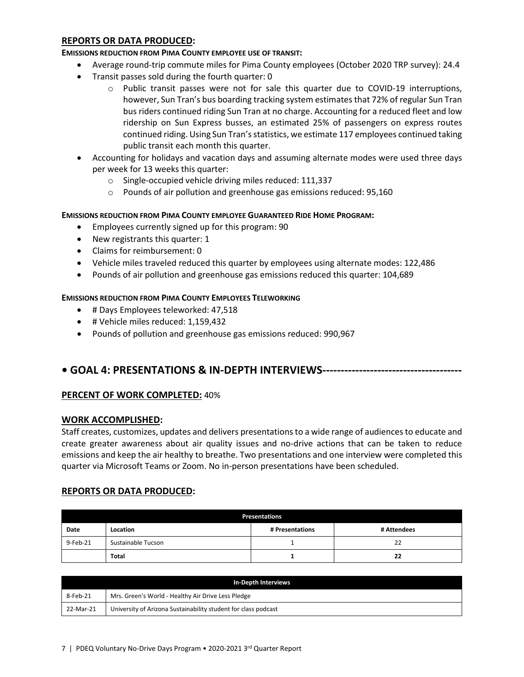### **REPORTS OR DATA PRODUCED:**

#### **EMISSIONS REDUCTION FROM PIMA COUNTY EMPLOYEE USE OF TRANSIT:**

- Average round-trip commute miles for Pima County employees (October 2020 TRP survey): 24.4
- Transit passes sold during the fourth quarter: 0
	- $\circ$  Public transit passes were not for sale this quarter due to COVID-19 interruptions, however, Sun Tran's bus boarding tracking system estimates that 72% of regular Sun Tran bus riders continued riding Sun Tran at no charge. Accounting for a reduced fleet and low ridership on Sun Express busses, an estimated 25% of passengers on express routes continued riding. Using Sun Tran's statistics, we estimate 117 employees continued taking public transit each month this quarter.
- Accounting for holidays and vacation days and assuming alternate modes were used three days per week for 13 weeks this quarter:
	- o Single-occupied vehicle driving miles reduced: 111,337
	- o Pounds of air pollution and greenhouse gas emissions reduced: 95,160

### **EMISSIONS REDUCTION FROM PIMA COUNTY EMPLOYEE GUARANTEED RIDE HOME PROGRAM:**

- Employees currently signed up for this program: 90
- New registrants this quarter: 1
- Claims for reimbursement: 0
- Vehicle miles traveled reduced this quarter by employees using alternate modes: 122,486
- Pounds of air pollution and greenhouse gas emissions reduced this quarter: 104,689

### **EMISSIONS REDUCTION FROM PIMA COUNTY EMPLOYEES TELEWORKING**

- # Days Employees teleworked: 47,518
- # Vehicle miles reduced: 1,159,432
- Pounds of pollution and greenhouse gas emissions reduced: 990,967

# **• GOAL 4: PRESENTATIONS & IN-DEPTH INTERVIEWS--------------------------------------**

### **PERCENT OF WORK COMPLETED:** 40%

### **WORK ACCOMPLISHED:**

Staff creates, customizes, updates and delivers presentations to a wide range of audiences to educate and create greater awareness about air quality issues and no-drive actions that can be taken to reduce emissions and keep the air healthy to breathe. Two presentations and one interview were completed this quarter via Microsoft Teams or Zoom. No in-person presentations have been scheduled.

### **REPORTS OR DATA PRODUCED:**

| <b>Presentations</b> |                    |             |    |  |  |
|----------------------|--------------------|-------------|----|--|--|
| Date                 | Location           | # Attendees |    |  |  |
| 9-Feb-21             | Sustainable Tucson |             | 22 |  |  |
|                      | <b>Total</b>       |             | 22 |  |  |

| In-Depth Interviews |                                                                |  |  |
|---------------------|----------------------------------------------------------------|--|--|
| 8-Feb-21            | Mrs. Green's World - Healthy Air Drive Less Pledge             |  |  |
| 22-Mar-21           | University of Arizona Sustainability student for class podcast |  |  |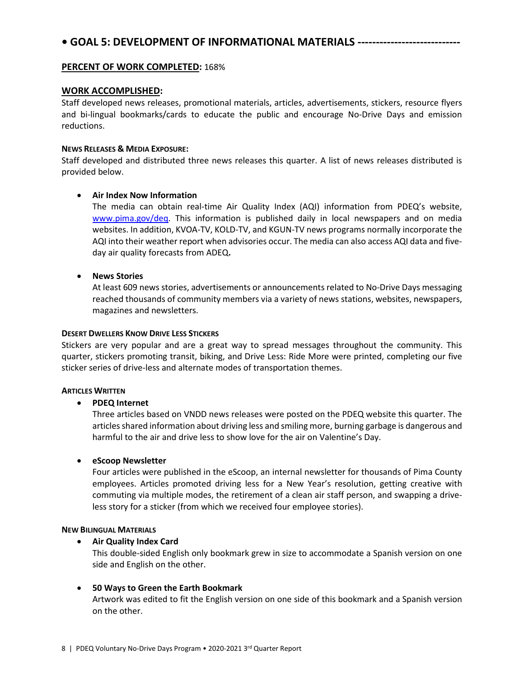# **• GOAL 5: DEVELOPMENT OF INFORMATIONAL MATERIALS ----------------------------**

### **PERCENT OF WORK COMPLETED:** 168%

### **WORK ACCOMPLISHED:**

Staff developed news releases, promotional materials, articles, advertisements, stickers, resource flyers and bi-lingual bookmarks/cards to educate the public and encourage No-Drive Days and emission reductions.

#### **NEWS RELEASES & MEDIA EXPOSURE:**

Staff developed and distributed three news releases this quarter. A list of news releases distributed is provided below.

### • **Air Index Now Information**

The media can obtain real-time Air Quality Index (AQI) information from PDEQ's website, [www.pima.gov/deq.](http://www.pima.gov/deq) This information is published daily in local newspapers and on media websites. In addition, KVOA-TV, KOLD-TV, and KGUN-TV news programs normally incorporate the AQI into their weather report when advisories occur. The media can also access AQI data and fiveday air quality forecasts from ADEQ**.**

### • **News Stories**

At least 609 news stories, advertisements or announcements related to No-Drive Days messaging reached thousands of community members via a variety of news stations, websites, newspapers, magazines and newsletters.

#### **DESERT DWELLERS KNOW DRIVE LESS STICKERS**

Stickers are very popular and are a great way to spread messages throughout the community. This quarter, stickers promoting transit, biking, and Drive Less: Ride More were printed, completing our five sticker series of drive-less and alternate modes of transportation themes.

#### **ARTICLES WRITTEN**

#### • **PDEQ Internet**

Three articles based on VNDD news releases were posted on the PDEQ website this quarter. The articles shared information about driving less and smiling more, burning garbage is dangerous and harmful to the air and drive less to show love for the air on Valentine's Day.

#### • **eScoop Newsletter**

Four articles were published in the eScoop, an internal newsletter for thousands of Pima County employees. Articles promoted driving less for a New Year's resolution, getting creative with commuting via multiple modes, the retirement of a clean air staff person, and swapping a driveless story for a sticker (from which we received four employee stories).

#### **NEW BILINGUAL MATERIALS**

#### • **Air Quality Index Card**

This double-sided English only bookmark grew in size to accommodate a Spanish version on one side and English on the other.

### • **50 Ways to Green the Earth Bookmark**

Artwork was edited to fit the English version on one side of this bookmark and a Spanish version on the other.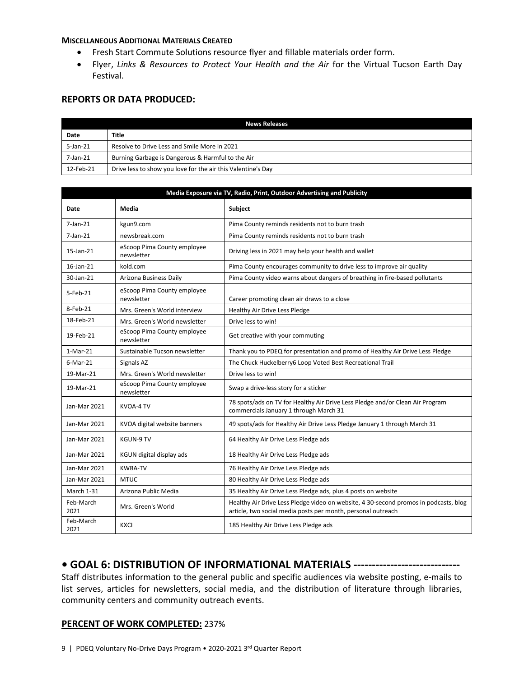#### **MISCELLANEOUS ADDITIONAL MATERIALS CREATED**

- Fresh Start Commute Solutions resource flyer and fillable materials order form.
- Flyer, *Links & Resources to Protect Your Health and the Air* for the Virtual Tucson Earth Day Festival.

### **REPORTS OR DATA PRODUCED:**

| <b>News Releases</b> |                                                              |  |  |
|----------------------|--------------------------------------------------------------|--|--|
| Date                 | Title                                                        |  |  |
| 5-Jan-21             | Resolve to Drive Less and Smile More in 2021                 |  |  |
| 7-Jan-21             | Burning Garbage is Dangerous & Harmful to the Air            |  |  |
| 12-Feb-21            | Drive less to show you love for the air this Valentine's Day |  |  |

| Media Exposure via TV, Radio, Print, Outdoor Advertising and Publicity |                                           |                                                                                                                                                      |  |
|------------------------------------------------------------------------|-------------------------------------------|------------------------------------------------------------------------------------------------------------------------------------------------------|--|
| Date                                                                   | Media                                     | Subject                                                                                                                                              |  |
| $7$ -Jan- $21$                                                         | kgun9.com                                 | Pima County reminds residents not to burn trash                                                                                                      |  |
| $7$ -Jan- $21$                                                         | newsbreak.com                             | Pima County reminds residents not to burn trash                                                                                                      |  |
| 15-Jan-21                                                              | eScoop Pima County employee<br>newsletter | Driving less in 2021 may help your health and wallet                                                                                                 |  |
| 16-Jan-21                                                              | kold.com                                  | Pima County encourages community to drive less to improve air quality                                                                                |  |
| 30-Jan-21                                                              | Arizona Business Daily                    | Pima County video warns about dangers of breathing in fire-based pollutants                                                                          |  |
| 5-Feb-21                                                               | eScoop Pima County employee<br>newsletter | Career promoting clean air draws to a close                                                                                                          |  |
| 8-Feb-21                                                               | Mrs. Green's World interview              | Healthy Air Drive Less Pledge                                                                                                                        |  |
| 18-Feb-21                                                              | Mrs. Green's World newsletter             | Drive less to win!                                                                                                                                   |  |
| 19-Feb-21                                                              | eScoop Pima County employee<br>newsletter | Get creative with your commuting                                                                                                                     |  |
| $1-Mar-21$                                                             | Sustainable Tucson newsletter             | Thank you to PDEQ for presentation and promo of Healthy Air Drive Less Pledge                                                                        |  |
| 6-Mar-21                                                               | Signals AZ                                | The Chuck Huckelberry6 Loop Voted Best Recreational Trail                                                                                            |  |
| 19-Mar-21                                                              | Mrs. Green's World newsletter             | Drive less to win!                                                                                                                                   |  |
| 19-Mar-21                                                              | eScoop Pima County employee<br>newsletter | Swap a drive-less story for a sticker                                                                                                                |  |
| Jan-Mar 2021                                                           | KVOA-4 TV                                 | 78 spots/ads on TV for Healthy Air Drive Less Pledge and/or Clean Air Program<br>commercials January 1 through March 31                              |  |
| Jan-Mar 2021                                                           | KVOA digital website banners              | 49 spots/ads for Healthy Air Drive Less Pledge January 1 through March 31                                                                            |  |
| Jan-Mar 2021                                                           | <b>KGUN-9 TV</b>                          | 64 Healthy Air Drive Less Pledge ads                                                                                                                 |  |
| Jan-Mar 2021                                                           | KGUN digital display ads                  | 18 Healthy Air Drive Less Pledge ads                                                                                                                 |  |
| Jan-Mar 2021                                                           | <b>KWBA-TV</b>                            | 76 Healthy Air Drive Less Pledge ads                                                                                                                 |  |
| Jan-Mar 2021                                                           | <b>MTUC</b>                               | 80 Healthy Air Drive Less Pledge ads                                                                                                                 |  |
| <b>March 1-31</b>                                                      | Arizona Public Media                      | 35 Healthy Air Drive Less Pledge ads, plus 4 posts on website                                                                                        |  |
| Feb-March<br>2021                                                      | Mrs. Green's World                        | Healthy Air Drive Less Pledge video on website, 4 30-second promos in podcasts, blog<br>article, two social media posts per month, personal outreach |  |
| Feb-March<br>2021                                                      | <b>KXCI</b>                               | 185 Healthy Air Drive Less Pledge ads                                                                                                                |  |

# **• GOAL 6: DISTRIBUTION OF INFORMATIONAL MATERIALS -----------------------------**

Staff distributes information to the general public and specific audiences via website posting, e-mails to list serves, articles for newsletters, social media, and the distribution of literature through libraries, community centers and community outreach events.

### **PERCENT OF WORK COMPLETED:** 237%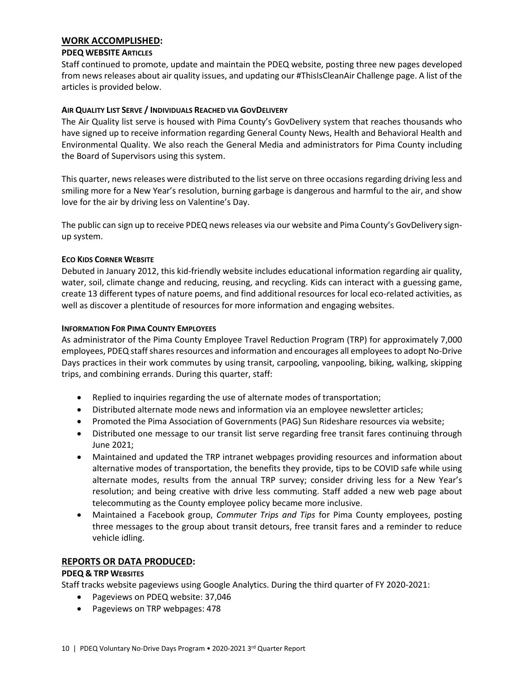### **WORK ACCOMPLISHED:**

### **PDEQ WEBSITE ARTICLES**

Staff continued to promote, update and maintain the PDEQ website, posting three new pages developed from news releases about air quality issues, and updating our #ThisIsCleanAir Challenge page. A list of the articles is provided below.

### **AIR QUALITY LIST SERVE / INDIVIDUALS REACHED VIA GOVDELIVERY**

The Air Quality list serve is housed with Pima County's GovDelivery system that reaches thousands who have signed up to receive information regarding General County News, Health and Behavioral Health and Environmental Quality. We also reach the General Media and administrators for Pima County including the Board of Supervisors using this system.

This quarter, news releases were distributed to the list serve on three occasions regarding driving less and smiling more for a New Year's resolution, burning garbage is dangerous and harmful to the air, and show love for the air by driving less on Valentine's Day.

The public can sign up to receive PDEQ news releases via our website and Pima County's GovDelivery signup system.

### **ECO KIDS CORNER WEBSITE**

Debuted in January 2012, this kid-friendly website includes educational information regarding air quality, water, soil, climate change and reducing, reusing, and recycling. Kids can interact with a guessing game, create 13 different types of nature poems, and find additional resources for local eco-related activities, as well as discover a plentitude of resources for more information and engaging websites.

### **INFORMATION FOR PIMA COUNTY EMPLOYEES**

As administrator of the Pima County Employee Travel Reduction Program (TRP) for approximately 7,000 employees, PDEQ staffshares resources and information and encourages all employees to adopt No-Drive Days practices in their work commutes by using transit, carpooling, vanpooling, biking, walking, skipping trips, and combining errands. During this quarter, staff:

- Replied to inquiries regarding the use of alternate modes of transportation;
- Distributed alternate mode news and information via an employee newsletter articles;
- Promoted the Pima Association of Governments (PAG) Sun Rideshare resources via website;
- Distributed one message to our transit list serve regarding free transit fares continuing through June 2021;
- Maintained and updated the TRP intranet webpages providing resources and information about alternative modes of transportation, the benefits they provide, tips to be COVID safe while using alternate modes, results from the annual TRP survey; consider driving less for a New Year's resolution; and being creative with drive less commuting. Staff added a new web page about telecommuting as the County employee policy became more inclusive.
- Maintained a Facebook group, *Commuter Trips and Tips* for Pima County employees, posting three messages to the group about transit detours, free transit fares and a reminder to reduce vehicle idling.

### **REPORTS OR DATA PRODUCED:**

#### **PDEQ & TRP WEBSITES**

Staff tracks website pageviews using Google Analytics. During the third quarter of FY 2020-2021:

- Pageviews on PDEQ website: 37,046
- Pageviews on TRP webpages: 478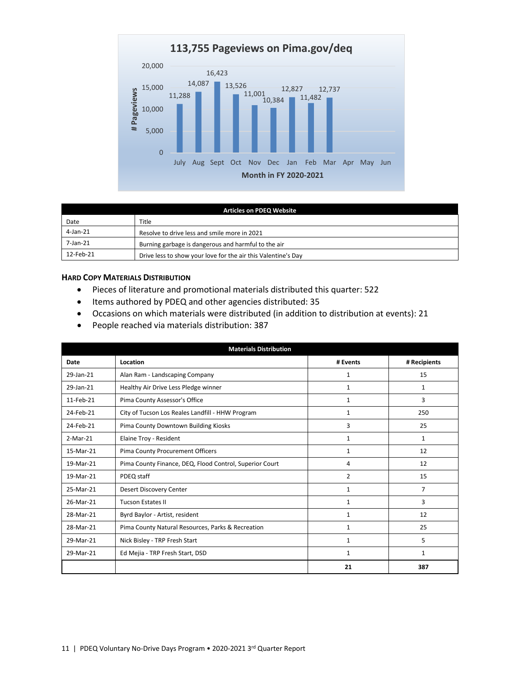

| <b>Articles on PDEQ Website</b> |                                                               |  |  |
|---------------------------------|---------------------------------------------------------------|--|--|
| Date                            | Title                                                         |  |  |
| 4-Jan-21                        | Resolve to drive less and smile more in 2021                  |  |  |
| 7-Jan-21                        | Burning garbage is dangerous and harmful to the air           |  |  |
| 12-Feb-21                       | Drive less to show your love for the air this Valentine's Day |  |  |

#### **HARD COPY MATERIALS DISTRIBUTION**

- Pieces of literature and promotional materials distributed this quarter: 522
- Items authored by PDEQ and other agencies distributed: 35
- Occasions on which materials were distributed (in addition to distribution at events): 21
- People reached via materials distribution: 387

| <b>Materials Distribution</b> |                                                         |              |                |
|-------------------------------|---------------------------------------------------------|--------------|----------------|
| Date                          | Location                                                | # Events     | # Recipients   |
| 29-Jan-21                     | Alan Ram - Landscaping Company                          | $\mathbf{1}$ | 15             |
| 29-Jan-21                     | Healthy Air Drive Less Pledge winner                    | 1            | $\mathbf{1}$   |
| 11-Feb-21                     | Pima County Assessor's Office                           | $\mathbf{1}$ | 3              |
| 24-Feb-21                     | City of Tucson Los Reales Landfill - HHW Program        | 1            | 250            |
| 24-Feb-21                     | Pima County Downtown Building Kiosks                    | 3            | 25             |
| $2-Mar-21$                    | Elaine Troy - Resident                                  | 1            | $\mathbf{1}$   |
| 15-Mar-21                     | Pima County Procurement Officers                        | 1            | 12             |
| 19-Mar-21                     | Pima County Finance, DEQ, Flood Control, Superior Court | 4            | 12             |
| 19-Mar-21                     | PDEQ staff                                              | 2            | 15             |
| 25-Mar-21                     | Desert Discovery Center                                 | 1            | $\overline{7}$ |
| 26-Mar-21                     | <b>Tucson Estates II</b>                                | 1            | 3              |
| 28-Mar-21                     | Byrd Baylor - Artist, resident                          | 1            | 12             |
| 28-Mar-21                     | Pima County Natural Resources, Parks & Recreation       | 1            | 25             |
| 29-Mar-21                     | Nick Bisley - TRP Fresh Start                           | 1            | 5              |
| 29-Mar-21                     | Ed Mejia - TRP Fresh Start, DSD                         | $\mathbf{1}$ | $\mathbf{1}$   |
|                               |                                                         | 21           | 387            |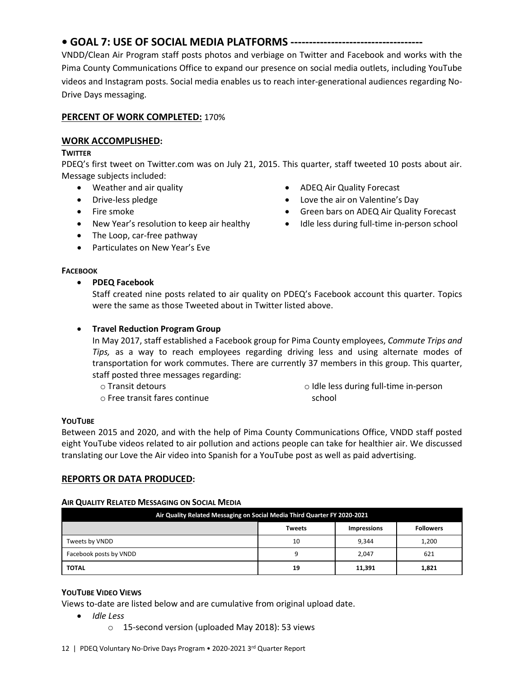#### 12 | PDEQ Voluntary No-Drive Days Program • 2020-2021 3rd Quarter Report

#### **• GOAL 7: USE OF SOCIAL MEDIA PLATFORMS ------------------------------------**

VNDD/Clean Air Program staff posts photos and verbiage on Twitter and Facebook and works with the Pima County Communications Office to expand our presence on social media outlets, including YouTube videos and Instagram posts. Social media enables us to reach inter-generational audiences regarding No-Drive Days messaging.

### **PERCENT OF WORK COMPLETED:** 170%

### **WORK ACCOMPLISHED:**

#### **TWITTER**

PDEQ's first tweet on Twitter.com was on July 21, 2015. This quarter, staff tweeted 10 posts about air. Message subjects included:

- Weather and air quality
- Drive-less pledge
- Fire smoke
- New Year's resolution to keep air healthy
- The Loop, car-free pathway
- Particulates on New Year's Eve

### **FACEBOOK**

• **PDEQ Facebook**

- ADEQ Air Quality Forecast
- Love the air on Valentine's Day
- Green bars on ADEQ Air Quality Forecast
- Idle less during full-time in-person school
- Staff created nine posts related to air quality on PDEQ's Facebook account this quarter. Topics were the same as those Tweeted about in Twitter listed above.

### • **Travel Reduction Program Group**

In May 2017, staff established a Facebook group for Pima County employees, *Commute Trips and Tips,* as a way to reach employees regarding driving less and using alternate modes of transportation for work commutes. There are currently 37 members in this group. This quarter, staff posted three messages regarding:

o Transit detours

o Free transit fares continue

o Idle less during full-time in-person school

### **YOUTUBE**

Between 2015 and 2020, and with the help of Pima County Communications Office, VNDD staff posted eight YouTube videos related to air pollution and actions people can take for healthier air. We discussed translating our Love the Air video into Spanish for a YouTube post as well as paid advertising.

### **REPORTS OR DATA PRODUCED:**

#### **AIR QUALITY RELATED MESSAGING ON SOCIAL MEDIA**

| Air Quality Related Messaging on Social Media Third Quarter FY 2020-2021 |               |                    |                  |  |
|--------------------------------------------------------------------------|---------------|--------------------|------------------|--|
|                                                                          | <b>Tweets</b> | <b>Impressions</b> | <b>Followers</b> |  |
| Tweets by VNDD                                                           | 10            | 9.344              | 1,200            |  |
| Facebook posts by VNDD                                                   | a             | 2,047              | 621              |  |
| <b>TOTAL</b>                                                             | 19            | 11,391             | 1,821            |  |

### **YOUTUBE VIDEO VIEWS**

Views to-date are listed below and are cumulative from original upload date.

- *Idle Less*
	- o 15-second version (uploaded May 2018): 53 views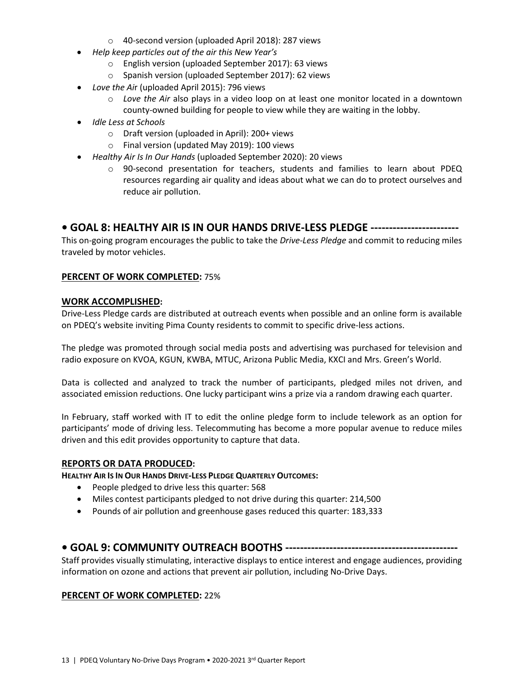- o 40-second version (uploaded April 2018): 287 views
- *Help keep particles out of the air this New Year's* 
	- o English version (uploaded September 2017): 63 views
	- o Spanish version (uploaded September 2017): 62 views
- *Love the Ai*r (uploaded April 2015): 796 views
	- o *Love the Air* also plays in a video loop on at least one monitor located in a downtown county-owned building for people to view while they are waiting in the lobby.
- *Idle Less at Schools*
	- o Draft version (uploaded in April): 200+ views
	- o Final version (updated May 2019): 100 views
- *Healthy Air Is In Our Hands* (uploaded September 2020): 20 views
	- o 90-second presentation for teachers, students and families to learn about PDEQ resources regarding air quality and ideas about what we can do to protect ourselves and reduce air pollution.

# **• GOAL 8: HEALTHY AIR IS IN OUR HANDS DRIVE-LESS PLEDGE ------------------------**

This on-going program encourages the public to take the *Drive-Less Pledge* and commit to reducing miles traveled by motor vehicles.

## **PERCENT OF WORK COMPLETED:** 75%

### **WORK ACCOMPLISHED:**

Drive-Less Pledge cards are distributed at outreach events when possible and an online form is available on PDEQ's website inviting Pima County residents to commit to specific drive-less actions.

The pledge was promoted through social media posts and advertising was purchased for television and radio exposure on KVOA, KGUN, KWBA, MTUC, Arizona Public Media, KXCI and Mrs. Green's World.

Data is collected and analyzed to track the number of participants, pledged miles not driven, and associated emission reductions. One lucky participant wins a prize via a random drawing each quarter.

In February, staff worked with IT to edit the online pledge form to include telework as an option for participants' mode of driving less. Telecommuting has become a more popular avenue to reduce miles driven and this edit provides opportunity to capture that data.

### **REPORTS OR DATA PRODUCED:**

**HEALTHY AIR IS IN OUR HANDS DRIVE-LESS PLEDGE QUARTERLY OUTCOMES:**

- People pledged to drive less this quarter: 568
- Miles contest participants pledged to not drive during this quarter: 214,500
- Pounds of air pollution and greenhouse gases reduced this quarter: 183,333

# **• GOAL 9: COMMUNITY OUTREACH BOOTHS -----------------------------------------------**

Staff provides visually stimulating, interactive displays to entice interest and engage audiences, providing information on ozone and actions that prevent air pollution, including No-Drive Days.

### **PERCENT OF WORK COMPLETED:** 22%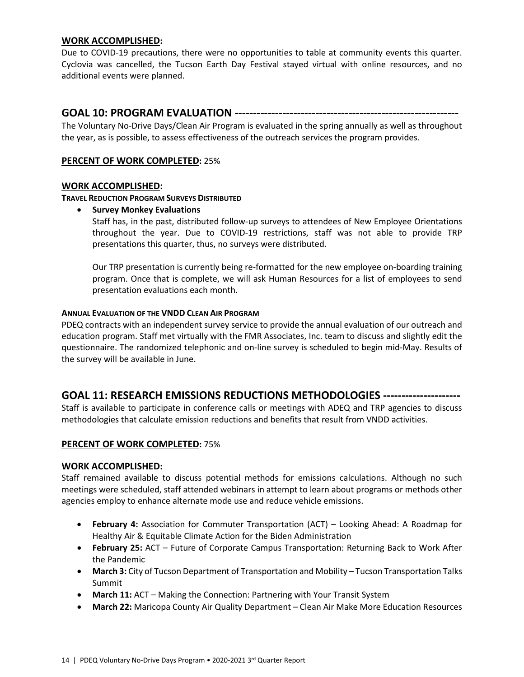### **WORK ACCOMPLISHED:**

Due to COVID-19 precautions, there were no opportunities to table at community events this quarter. Cyclovia was cancelled, the Tucson Earth Day Festival stayed virtual with online resources, and no additional events were planned.

## **GOAL 10: PROGRAM EVALUATION -------------------------------------------------------------**

The Voluntary No-Drive Days/Clean Air Program is evaluated in the spring annually as well as throughout the year, as is possible, to assess effectiveness of the outreach services the program provides.

### **PERCENT OF WORK COMPLETED:** 25%

### **WORK ACCOMPLISHED:**

**TRAVEL REDUCTION PROGRAM SURVEYS DISTRIBUTED**

• **Survey Monkey Evaluations**

Staff has, in the past, distributed follow-up surveys to attendees of New Employee Orientations throughout the year. Due to COVID-19 restrictions, staff was not able to provide TRP presentations this quarter, thus, no surveys were distributed.

Our TRP presentation is currently being re-formatted for the new employee on-boarding training program. Once that is complete, we will ask Human Resources for a list of employees to send presentation evaluations each month.

#### **ANNUAL EVALUATION OF THE VNDD CLEAN AIR PROGRAM**

PDEQ contracts with an independent survey service to provide the annual evaluation of our outreach and education program. Staff met virtually with the FMR Associates, Inc. team to discuss and slightly edit the questionnaire. The randomized telephonic and on-line survey is scheduled to begin mid-May. Results of the survey will be available in June.

# **GOAL 11: RESEARCH EMISSIONS REDUCTIONS METHODOLOGIES ---------------------**

Staff is available to participate in conference calls or meetings with ADEQ and TRP agencies to discuss methodologies that calculate emission reductions and benefits that result from VNDD activities.

### **PERCENT OF WORK COMPLETED:** 75%

### **WORK ACCOMPLISHED:**

Staff remained available to discuss potential methods for emissions calculations. Although no such meetings were scheduled, staff attended webinars in attempt to learn about programs or methods other agencies employ to enhance alternate mode use and reduce vehicle emissions.

- **February 4:** Association for Commuter Transportation (ACT) Looking Ahead: A Roadmap for Healthy Air & Equitable Climate Action for the Biden Administration
- **February 25:** ACT Future of Corporate Campus Transportation: Returning Back to Work After the Pandemic
- **March 3:** City of Tucson Department of Transportation and Mobility Tucson Transportation Talks Summit
- **March 11:** ACT Making the Connection: Partnering with Your Transit System
- **March 22:** Maricopa County Air Quality Department Clean Air Make More Education Resources